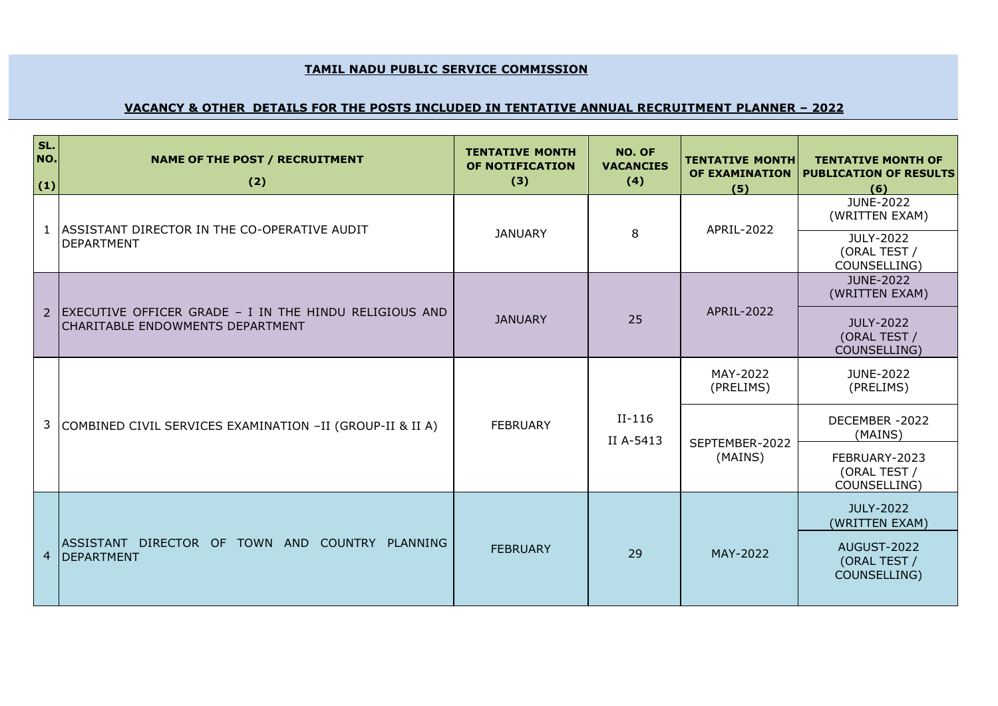## **TAMIL NADU PUBLIC SERVICE COMMISSION**

## **VACANCY & OTHER DETAILS FOR THE POSTS INCLUDED IN TENTATIVE ANNUAL RECRUITMENT PLANNER – 2022**

| SL.<br>NO.<br>(1) | <b>NAME OF THE POST / RECRUITMENT</b><br>(2)                                               | <b>TENTATIVE MONTH</b><br>OF NOTIFICATION<br>(3) | NO. OF<br><b>VACANCIES</b><br>(4) | <b>TENTATIVE MONTH</b><br>OF EXAMINATION<br>(5) | <b>TENTATIVE MONTH OF</b><br><b>PUBLICATION OF RESULTS</b><br>(6) |
|-------------------|--------------------------------------------------------------------------------------------|--------------------------------------------------|-----------------------------------|-------------------------------------------------|-------------------------------------------------------------------|
|                   | 1   ASSISTANT DIRECTOR IN THE CO-OPERATIVE AUDIT<br><b>DEPARTMENT</b>                      | <b>JANUARY</b>                                   | 8                                 | APRIL-2022                                      | <b>JUNE-2022</b><br>(WRITTEN EXAM)                                |
|                   |                                                                                            |                                                  |                                   |                                                 | JULY-2022<br>(ORAL TEST /<br>COUNSELLING)                         |
|                   |                                                                                            | 25<br><b>JANUARY</b>                             |                                   | <b>JUNE-2022</b><br>(WRITTEN EXAM)              |                                                                   |
| $\overline{2}$    | EXECUTIVE OFFICER GRADE - I IN THE HINDU RELIGIOUS AND<br>CHARITABLE ENDOWMENTS DEPARTMENT |                                                  |                                   | APRIL-2022                                      | <b>JULY-2022</b><br>(ORAL TEST /<br>COUNSELLING)                  |
| 3                 | <b>FEBRUARY</b><br>COMBINED CIVIL SERVICES EXAMINATION -II (GROUP-II & II A)               |                                                  | $II-116$<br>II A-5413             | MAY-2022<br>(PRELIMS)                           | JUNE-2022<br>(PRELIMS)                                            |
|                   |                                                                                            |                                                  |                                   | SEPTEMBER-2022                                  | DECEMBER-2022<br>(MAINS)                                          |
|                   |                                                                                            |                                                  | (MAINS)                           | FEBRUARY-2023<br>(ORAL TEST /<br>COUNSELLING)   |                                                                   |
| $\overline{4}$    | ASSISTANT DIRECTOR OF TOWN AND COUNTRY PLANNING<br><b>DEPARTMENT</b>                       |                                                  |                                   | MAY-2022                                        | JULY-2022<br>(WRITTEN EXAM)                                       |
|                   |                                                                                            | <b>FEBRUARY</b>                                  | 29                                |                                                 | AUGUST-2022<br>(ORAL TEST /<br>COUNSELLING)                       |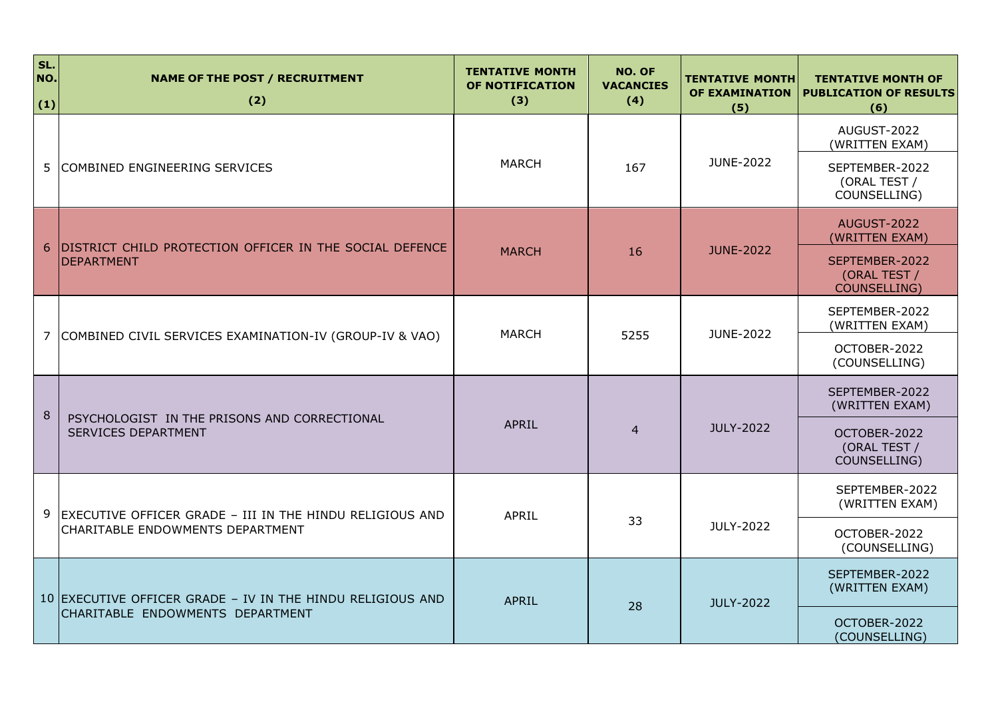| SL.<br>NO.<br>(1) | <b>NAME OF THE POST / RECRUITMENT</b><br>(2)                                 | <b>TENTATIVE MONTH</b><br><b>OF NOTIFICATION</b><br>(3) | <b>NO. OF</b><br><b>VACANCIES</b><br>(4) | <b>TENTATIVE MONTH</b><br>OF EXAMINATION<br>(5) | <b>TENTATIVE MONTH OF</b><br><b>PUBLICATION OF RESULTS</b><br>(6) |
|-------------------|------------------------------------------------------------------------------|---------------------------------------------------------|------------------------------------------|-------------------------------------------------|-------------------------------------------------------------------|
|                   |                                                                              |                                                         |                                          |                                                 | AUGUST-2022<br>(WRITTEN EXAM)                                     |
| 5                 | COMBINED ENGINEERING SERVICES                                                | <b>MARCH</b>                                            | 167                                      | JUNE-2022                                       | SEPTEMBER-2022<br>(ORAL TEST /<br>COUNSELLING)                    |
|                   |                                                                              |                                                         |                                          | <b>JUNE-2022</b><br>16                          | AUGUST-2022<br>(WRITTEN EXAM)                                     |
|                   | DISTRICT CHILD PROTECTION OFFICER IN THE SOCIAL DEFENCE<br><b>DEPARTMENT</b> | <b>MARCH</b>                                            |                                          |                                                 | SEPTEMBER-2022<br>(ORAL TEST /<br>COUNSELLING)                    |
|                   |                                                                              | <b>MARCH</b>                                            |                                          | JUNE-2022                                       | SEPTEMBER-2022<br>(WRITTEN EXAM)                                  |
| 7                 | COMBINED CIVIL SERVICES EXAMINATION-IV (GROUP-IV & VAO)                      |                                                         | 5255                                     |                                                 | OCTOBER-2022<br>(COUNSELLING)                                     |
| 8                 | PSYCHOLOGIST IN THE PRISONS AND CORRECTIONAL                                 |                                                         |                                          |                                                 | SEPTEMBER-2022<br>(WRITTEN EXAM)                                  |
|                   | <b>SERVICES DEPARTMENT</b>                                                   | <b>APRIL</b>                                            | $\overline{4}$                           | JULY-2022                                       | OCTOBER-2022<br>(ORAL TEST /<br>COUNSELLING)                      |
| 9                 | EXECUTIVE OFFICER GRADE - III IN THE HINDU RELIGIOUS AND                     | <b>APRIL</b>                                            |                                          |                                                 | SEPTEMBER-2022<br>(WRITTEN EXAM)                                  |
|                   | CHARITABLE ENDOWMENTS DEPARTMENT                                             |                                                         | 33                                       | JULY-2022                                       | OCTOBER-2022<br>(COUNSELLING)                                     |
|                   | 10 EXECUTIVE OFFICER GRADE - IV IN THE HINDU RELIGIOUS AND                   | <b>APRIL</b>                                            |                                          | <b>JULY-2022</b>                                | SEPTEMBER-2022<br>(WRITTEN EXAM)                                  |
|                   | CHARITABLE ENDOWMENTS DEPARTMENT                                             |                                                         | 28                                       | OCTOBER-2022<br>(COUNSELLING)                   |                                                                   |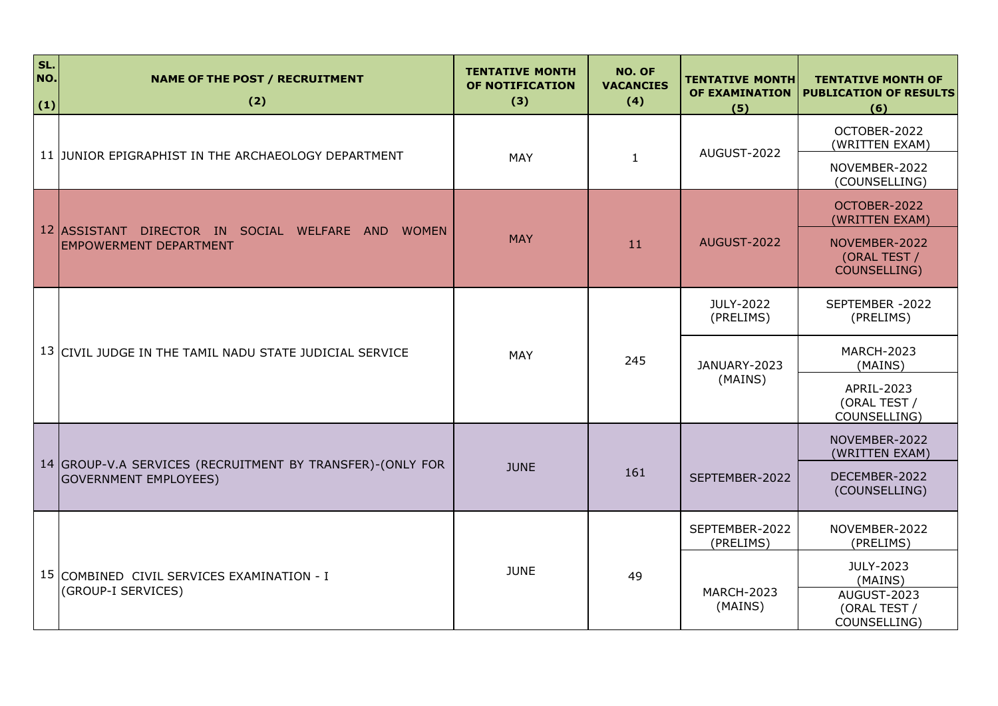| SL.<br>NO.<br>(1) | <b>NAME OF THE POST / RECRUITMENT</b><br>(2)                                              | <b>TENTATIVE MONTH</b><br><b>OF NOTIFICATION</b><br>(3) | NO. OF<br><b>VACANCIES</b><br>(4) | <b>TENTATIVE MONTH</b><br>OF EXAMINATION<br>(5) | <b>TENTATIVE MONTH OF</b><br><b>PUBLICATION OF RESULTS</b><br>(6) |
|-------------------|-------------------------------------------------------------------------------------------|---------------------------------------------------------|-----------------------------------|-------------------------------------------------|-------------------------------------------------------------------|
|                   | 11 JUNIOR EPIGRAPHIST IN THE ARCHAEOLOGY DEPARTMENT                                       | <b>MAY</b>                                              | $\mathbf{1}$                      | AUGUST-2022                                     | OCTOBER-2022<br>(WRITTEN EXAM)                                    |
|                   |                                                                                           |                                                         |                                   |                                                 | NOVEMBER-2022<br>(COUNSELLING)                                    |
|                   |                                                                                           | <b>MAY</b><br>11                                        |                                   |                                                 | OCTOBER-2022<br>(WRITTEN EXAM)                                    |
|                   | 12 ASSISTANT DIRECTOR IN SOCIAL WELFARE AND WOMEN<br><b>EMPOWERMENT DEPARTMENT</b>        |                                                         | AUGUST-2022                       | NOVEMBER-2022<br>(ORAL TEST /<br>COUNSELLING)   |                                                                   |
|                   | 13 CIVIL JUDGE IN THE TAMIL NADU STATE JUDICIAL SERVICE                                   | <b>MAY</b>                                              | 245                               | JULY-2022<br>(PRELIMS)                          | SEPTEMBER - 2022<br>(PRELIMS)                                     |
|                   |                                                                                           |                                                         |                                   | JANUARY-2023<br>(MAINS)                         | <b>MARCH-2023</b><br>(MAINS)                                      |
|                   |                                                                                           |                                                         |                                   |                                                 | APRIL-2023<br>(ORAL TEST /<br>COUNSELLING)                        |
|                   |                                                                                           |                                                         |                                   | 161<br>SEPTEMBER-2022                           | NOVEMBER-2022<br>(WRITTEN EXAM)                                   |
|                   | 14 GROUP-V.A SERVICES (RECRUITMENT BY TRANSFER)-(ONLY FOR<br><b>GOVERNMENT EMPLOYEES)</b> | <b>JUNE</b>                                             |                                   |                                                 | DECEMBER-2022<br>(COUNSELLING)                                    |
|                   | <b>JUNE</b><br>15 COMBINED CIVIL SERVICES EXAMINATION - I<br>(GROUP-I SERVICES)           |                                                         | 49                                | SEPTEMBER-2022<br>(PRELIMS)                     | NOVEMBER-2022<br>(PRELIMS)                                        |
|                   |                                                                                           |                                                         |                                   | <b>MARCH-2023</b><br>(MAINS)                    | JULY-2023<br>(MAINS)                                              |
|                   |                                                                                           |                                                         |                                   |                                                 | AUGUST-2023<br>(ORAL TEST /<br>COUNSELLING)                       |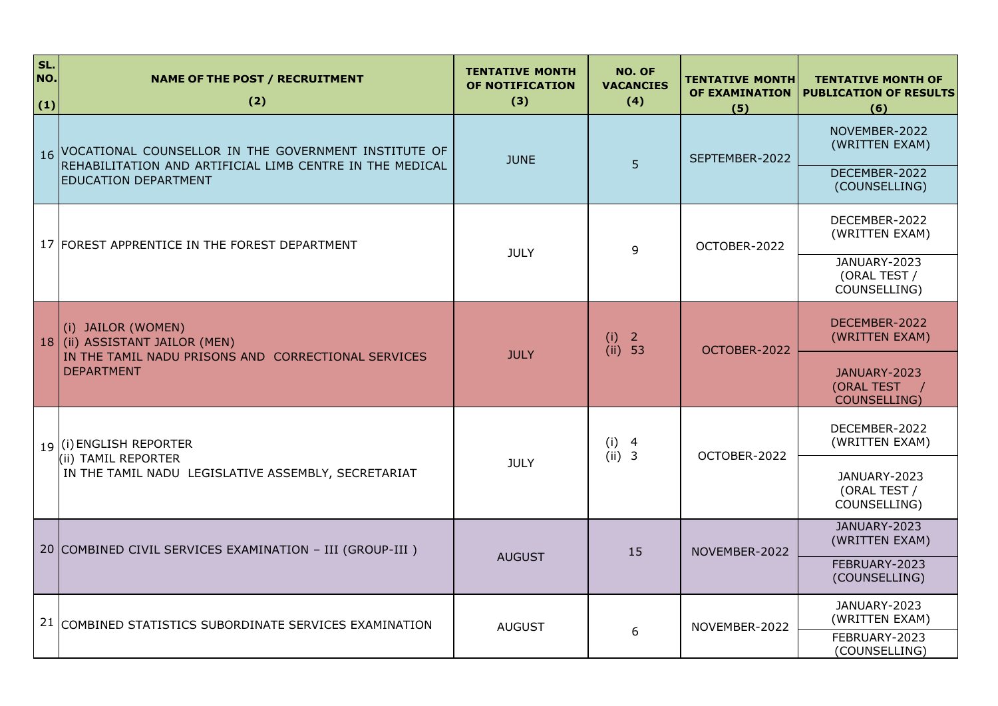| SL.<br>NO.<br>(1) | <b>NAME OF THE POST / RECRUITMENT</b><br>(2)                                                                                                       | <b>TENTATIVE MONTH</b><br>OF NOTIFICATION<br>(3) | NO. OF<br><b>VACANCIES</b><br>(4) | <b>TENTATIVE MONTH</b><br>OF EXAMINATION<br>(5) | <b>TENTATIVE MONTH OF</b><br><b>PUBLICATION OF RESULTS</b><br>(6) |
|-------------------|----------------------------------------------------------------------------------------------------------------------------------------------------|--------------------------------------------------|-----------------------------------|-------------------------------------------------|-------------------------------------------------------------------|
|                   | 16 VOCATIONAL COUNSELLOR IN THE GOVERNMENT INSTITUTE OF<br>REHABILITATION AND ARTIFICIAL LIMB CENTRE IN THE MEDICAL<br><b>EDUCATION DEPARTMENT</b> | <b>JUNE</b>                                      | 5                                 | SEPTEMBER-2022                                  | NOVEMBER-2022<br>(WRITTEN EXAM)                                   |
|                   |                                                                                                                                                    |                                                  |                                   |                                                 | DECEMBER-2022<br>(COUNSELLING)                                    |
|                   | 17 FOREST APPRENTICE IN THE FOREST DEPARTMENT                                                                                                      | <b>JULY</b>                                      | 9                                 | OCTOBER-2022                                    | DECEMBER-2022<br>(WRITTEN EXAM)                                   |
|                   |                                                                                                                                                    |                                                  |                                   |                                                 | JANUARY-2023<br>(ORAL TEST /<br>COUNSELLING)                      |
|                   | (i) JAILOR (WOMEN)<br>18 (ii) ASSISTANT JAILOR (MEN)<br>IN THE TAMIL NADU PRISONS AND CORRECTIONAL SERVICES<br><b>DEPARTMENT</b>                   | <b>JULY</b>                                      | (i) 2<br>(ii) 53                  | OCTOBER-2022                                    | DECEMBER-2022<br>(WRITTEN EXAM)                                   |
|                   |                                                                                                                                                    |                                                  |                                   |                                                 | JANUARY-2023<br>(ORAL TEST /<br><b>COUNSELLING)</b>               |
|                   | 19 (i) ENGLISH REPORTER                                                                                                                            |                                                  | (i) 4<br>(ii) 3                   | OCTOBER-2022                                    | DECEMBER-2022<br>(WRITTEN EXAM)                                   |
|                   | (ii) TAMIL REPORTER<br>IN THE TAMIL NADU LEGISLATIVE ASSEMBLY, SECRETARIAT                                                                         | <b>JULY</b>                                      |                                   |                                                 | JANUARY-2023<br>(ORAL TEST /<br>COUNSELLING)                      |
|                   | 20 COMBINED CIVIL SERVICES EXAMINATION - III (GROUP-III)                                                                                           | <b>AUGUST</b>                                    | 15                                | NOVEMBER-2022                                   | JANUARY-2023<br>(WRITTEN EXAM)                                    |
|                   |                                                                                                                                                    |                                                  |                                   |                                                 | FEBRUARY-2023<br>(COUNSELLING)                                    |
|                   | 21 COMBINED STATISTICS SUBORDINATE SERVICES EXAMINATION                                                                                            | <b>AUGUST</b>                                    | 6                                 | NOVEMBER-2022                                   | JANUARY-2023<br>(WRITTEN EXAM)                                    |
|                   |                                                                                                                                                    |                                                  |                                   |                                                 | FEBRUARY-2023<br>(COUNSELLING)                                    |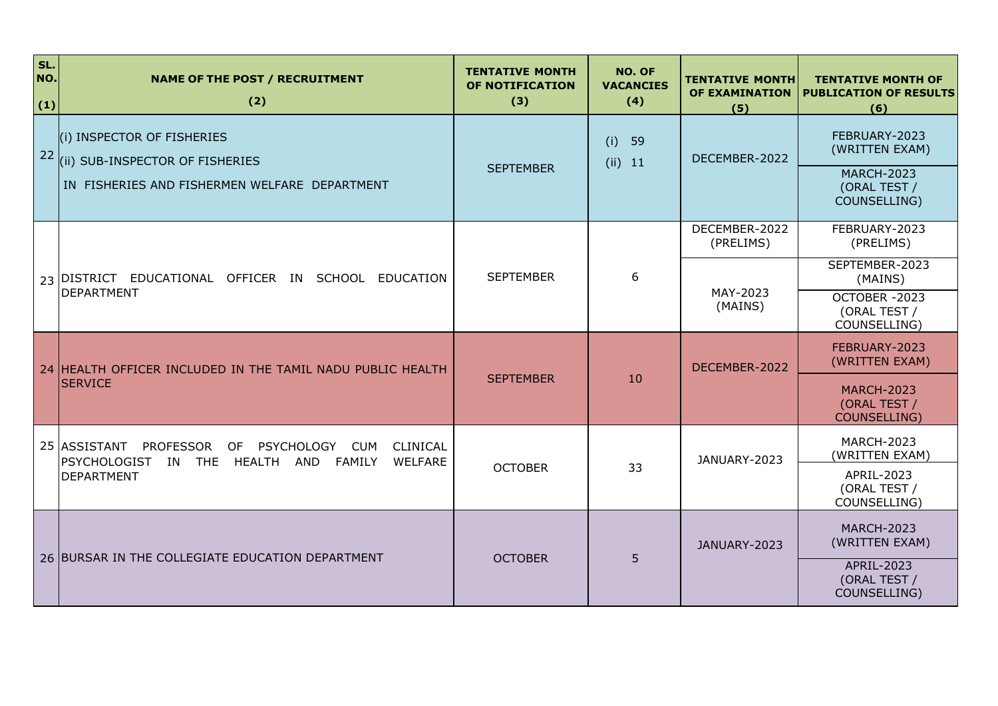| SL.<br>NO.<br>(1) | <b>NAME OF THE POST / RECRUITMENT</b><br>(2)                                                                                   | <b>TENTATIVE MONTH</b><br>OF NOTIFICATION<br>(3) | NO. OF<br><b>VACANCIES</b><br>(4) | <b>TENTATIVE MONTH</b><br>OF EXAMINATION<br>(5) | <b>TENTATIVE MONTH OF</b><br><b>PUBLICATION OF RESULTS</b><br>(6)                    |
|-------------------|--------------------------------------------------------------------------------------------------------------------------------|--------------------------------------------------|-----------------------------------|-------------------------------------------------|--------------------------------------------------------------------------------------|
| 22                | (i) INSPECTOR OF FISHERIES<br>(ii) SUB-INSPECTOR OF FISHERIES<br>IN FISHERIES AND FISHERMEN WELFARE DEPARTMENT                 | <b>SEPTEMBER</b>                                 | 59<br>(i)<br>$(ii)$ 11            | DECEMBER-2022                                   | FEBRUARY-2023<br>(WRITTEN EXAM)<br><b>MARCH-2023</b><br>(ORAL TEST /<br>COUNSELLING) |
|                   |                                                                                                                                |                                                  |                                   | DECEMBER-2022<br>(PRELIMS)                      | FEBRUARY-2023<br>(PRELIMS)                                                           |
|                   | 23   DISTRICT EDUCATIONAL OFFICER IN SCHOOL<br>EDUCATION                                                                       | <b>SEPTEMBER</b><br>6<br>MAY-2023<br>(MAINS)     |                                   |                                                 | SEPTEMBER-2023<br>(MAINS)                                                            |
|                   | <b>DEPARTMENT</b>                                                                                                              |                                                  |                                   | OCTOBER-2023<br>(ORAL TEST /<br>COUNSELLING)    |                                                                                      |
|                   | 24 HEALTH OFFICER INCLUDED IN THE TAMIL NADU PUBLIC HEALTH                                                                     |                                                  |                                   | DECEMBER-2022                                   | FEBRUARY-2023<br>(WRITTEN EXAM)                                                      |
|                   | <b>SERVICE</b>                                                                                                                 | <b>SEPTEMBER</b>                                 | 10                                |                                                 | <b>MARCH-2023</b><br>(ORAL TEST /<br><b>COUNSELLING)</b>                             |
|                   | 25 ASSISTANT<br>PROFESSOR<br>OF PSYCHOLOGY<br><b>CUM</b><br>CLINICAL<br>PSYCHOLOGIST IN THE<br>HEALTH AND<br>FAMILY<br>WELFARE |                                                  |                                   | JANUARY-2023                                    | <b>MARCH-2023</b><br>(WRITTEN EXAM)                                                  |
|                   | <b>DEPARTMENT</b>                                                                                                              | <b>OCTOBER</b>                                   | 33                                |                                                 | APRIL-2023<br>(ORAL TEST /<br>COUNSELLING)                                           |
|                   | 26 BURSAR IN THE COLLEGIATE EDUCATION DEPARTMENT                                                                               | <b>OCTOBER</b>                                   | 5                                 | JANUARY-2023                                    | <b>MARCH-2023</b><br>(WRITTEN EXAM)                                                  |
|                   |                                                                                                                                |                                                  |                                   |                                                 | APRIL-2023<br>(ORAL TEST /<br>COUNSELLING)                                           |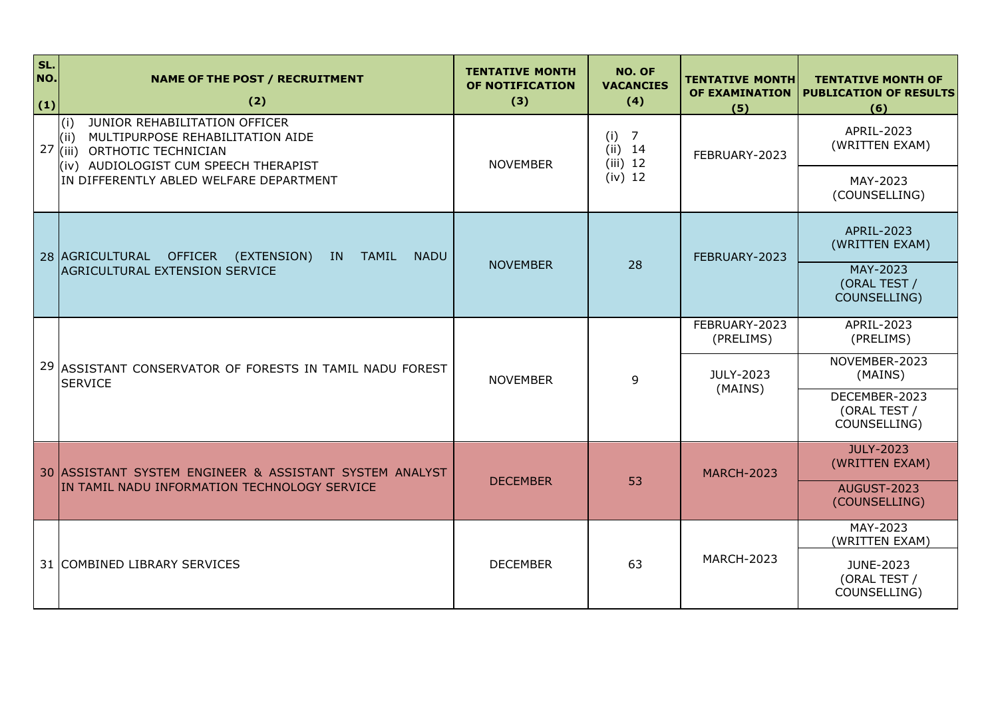| SL.<br>NO.<br>(1) | <b>NAME OF THE POST / RECRUITMENT</b><br>(2)                                                                                                              | <b>TENTATIVE MONTH</b><br>OF NOTIFICATION<br>(3) | NO. OF<br><b>VACANCIES</b><br>(4)                | <b>TENTATIVE MONTH</b><br><b>OF EXAMINATION</b><br>(5) | <b>TENTATIVE MONTH OF</b><br><b>PUBLICATION OF RESULTS</b><br>(6) |
|-------------------|-----------------------------------------------------------------------------------------------------------------------------------------------------------|--------------------------------------------------|--------------------------------------------------|--------------------------------------------------------|-------------------------------------------------------------------|
| 27                | JUNIOR REHABILITATION OFFICER<br>(i)<br>MULTIPURPOSE REHABILITATION AIDE<br>(i)<br>ORTHOTIC TECHNICIAN<br>l(iii)<br>(iv) AUDIOLOGIST CUM SPEECH THERAPIST | <b>NOVEMBER</b>                                  | $\overline{7}$<br>(i)<br>$(ii)$ 14<br>$(iii)$ 12 | FEBRUARY-2023                                          | APRIL-2023<br>(WRITTEN EXAM)                                      |
|                   | IN DIFFERENTLY ABLED WELFARE DEPARTMENT                                                                                                                   |                                                  | $(iv)$ 12                                        |                                                        | MAY-2023<br>(COUNSELLING)                                         |
|                   | 28 AGRICULTURAL OFFICER<br><b>TAMIL</b><br><b>NADU</b><br>(EXTENSION)<br>IN.                                                                              |                                                  |                                                  | FEBRUARY-2023                                          | APRIL-2023<br>(WRITTEN EXAM)                                      |
|                   | <b>AGRICULTURAL EXTENSION SERVICE</b>                                                                                                                     | <b>NOVEMBER</b>                                  | 28                                               |                                                        | MAY-2023<br>(ORAL TEST /<br>COUNSELLING)                          |
|                   |                                                                                                                                                           |                                                  |                                                  | FEBRUARY-2023<br>(PRELIMS)                             | APRIL-2023<br>(PRELIMS)                                           |
|                   | 29 ASSISTANT CONSERVATOR OF FORESTS IN TAMIL NADU FOREST<br><b>SERVICE</b>                                                                                | <b>NOVEMBER</b>                                  | 9                                                | JULY-2023<br>(MAINS)                                   | NOVEMBER-2023<br>(MAINS)                                          |
|                   |                                                                                                                                                           |                                                  |                                                  |                                                        | DECEMBER-2023<br>(ORAL TEST /<br>COUNSELLING)                     |
|                   | 30 ASSISTANT SYSTEM ENGINEER & ASSISTANT SYSTEM ANALYST                                                                                                   | <b>DECEMBER</b>                                  | 53                                               | <b>MARCH-2023</b>                                      | JULY-2023<br>(WRITTEN EXAM)                                       |
|                   | IN TAMIL NADU INFORMATION TECHNOLOGY SERVICE                                                                                                              |                                                  |                                                  |                                                        | <b>AUGUST-2023</b><br>(COUNSELLING)                               |
|                   |                                                                                                                                                           |                                                  |                                                  |                                                        | MAY-2023<br>(WRITTEN EXAM)                                        |
|                   | 31 COMBINED LIBRARY SERVICES                                                                                                                              | <b>DECEMBER</b>                                  | 63                                               | <b>MARCH-2023</b>                                      | JUNE-2023<br>(ORAL TEST /<br>COUNSELLING)                         |